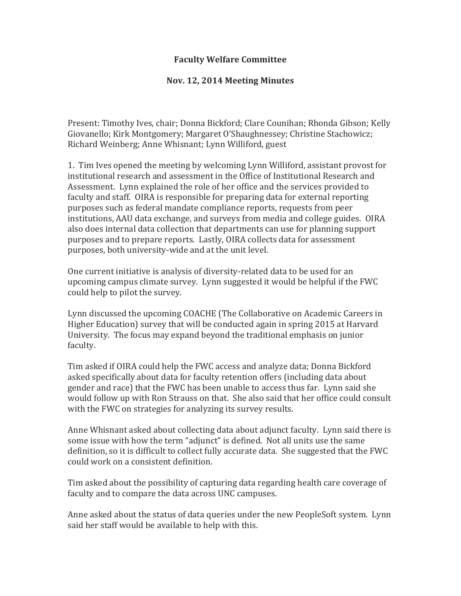## **Faculty Welfare Committee**

## **Nov. 12, 2014 Meeting Minutes**

Present: Timothy Ives, chair; Donna Bickford; Clare Counihan; Rhonda Gibson; Kelly Giovanello; Kirk Montgomery; Margaret O'Shaughnessey; Christine Stachowicz; Richard Weinberg; Anne Whisnant; Lynn Williford, guest

1. Tim Ives opened the meeting by welcoming Lynn Williford, assistant provost for institutional research and assessment in the Office of Institutional Research and Assessment. Lynn explained the role of her office and the services provided to faculty and staff. OIRA is responsible for preparing data for external reporting purposes such as federal mandate compliance reports, requests from peer institutions, AAU data exchange, and surveys from media and college guides. OIRA also does internal data collection that departments can use for planning support purposes and to prepare reports. Lastly, OIRA collects data for assessment purposes, both university-wide and at the unit level.

One current initiative is analysis of diversity-related data to be used for an upcoming campus climate survey. Lynn suggested it would be helpful if the FWC could help to pilot the survey.

Lynn discussed the upcoming COACHE (The Collaborative on Academic Careers in Higher Education) survey that will be conducted again in spring 2015 at Harvard University. The focus may expand beyond the traditional emphasis on junior faculty.

Tim asked if OIRA could help the FWC access and analyze data; Donna Bickford asked specifically about data for faculty retention offers (including data about gender and race) that the FWC has been unable to access thus far. Lynn said she would follow up with Ron Strauss on that. She also said that her office could consult with the FWC on strategies for analyzing its survey results.

Anne Whisnant asked about collecting data about adjunct faculty. Lynn said there is some issue with how the term "adjunct" is defined. Not all units use the same definition, so it is difficult to collect fully accurate data. She suggested that the FWC could work on a consistent definition.

Tim asked about the possibility of capturing data regarding health care coverage of faculty and to compare the data across UNC campuses.

Anne asked about the status of data queries under the new PeopleSoft system. Lynn said her staff would be available to help with this.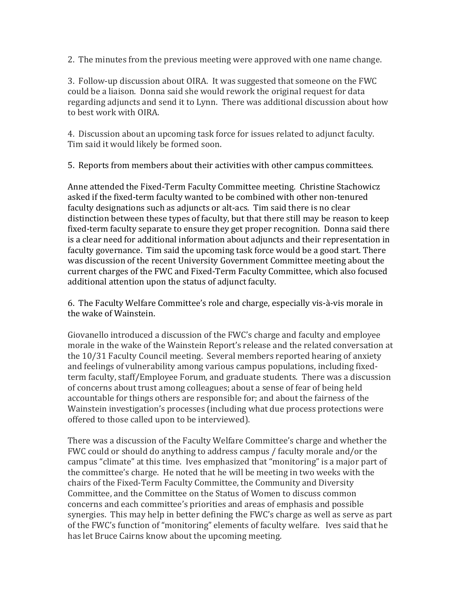2. The minutes from the previous meeting were approved with one name change.

3. Follow-up discussion about OIRA. It was suggested that someone on the FWC could be a liaison. Donna said she would rework the original request for data regarding adjuncts and send it to Lynn. There was additional discussion about how to best work with OIRA.

4. Discussion about an upcoming task force for issues related to adjunct faculty. Tim said it would likely be formed soon.

5. Reports from members about their activities with other campus committees.

Anne attended the Fixed-Term Faculty Committee meeting. Christine Stachowicz asked if the fixed-term faculty wanted to be combined with other non-tenured faculty designations such as adjuncts or alt-acs. Tim said there is no clear distinction between these types of faculty, but that there still may be reason to keep fixed-term faculty separate to ensure they get proper recognition. Donna said there is a clear need for additional information about adjuncts and their representation in faculty governance. Tim said the upcoming task force would be a good start. There was discussion of the recent University Government Committee meeting about the current charges of the FWC and Fixed-Term Faculty Committee, which also focused additional attention upon the status of adjunct faculty.

6. The Faculty Welfare Committee's role and charge, especially vis-à-vis morale in the wake of Wainstein.

Giovanello introduced a discussion of the FWC's charge and faculty and employee morale in the wake of the Wainstein Report's release and the related conversation at the 10/31 Faculty Council meeting. Several members reported hearing of anxiety and feelings of vulnerability among various campus populations, including fixedterm faculty, staff/Employee Forum, and graduate students. There was a discussion of concerns about trust among colleagues; about a sense of fear of being held accountable for things others are responsible for; and about the fairness of the Wainstein investigation's processes (including what due process protections were offered to those called upon to be interviewed).

There was a discussion of the Faculty Welfare Committee's charge and whether the FWC could or should do anything to address campus / faculty morale and/or the campus "climate" at this time. Ives emphasized that "monitoring" is a major part of the committee's charge. He noted that he will be meeting in two weeks with the chairs of the Fixed-Term Faculty Committee, the Community and Diversity Committee, and the Committee on the Status of Women to discuss common concerns and each committee's priorities and areas of emphasis and possible synergies. This may help in better defining the FWC's charge as well as serve as part of the FWC's function of "monitoring" elements of faculty welfare. Ives said that he has let Bruce Cairns know about the upcoming meeting.